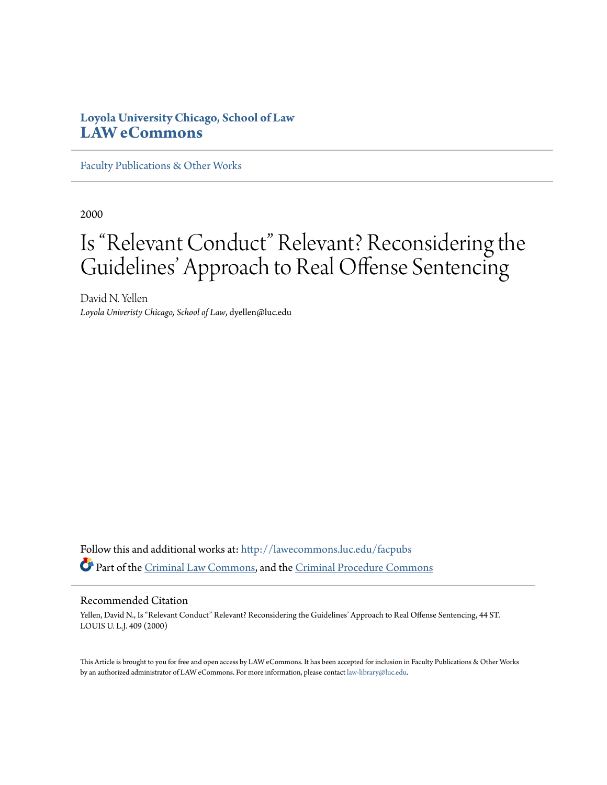# **Loyola University Chicago, School of Law [LAW eCommons](http://lawecommons.luc.edu?utm_source=lawecommons.luc.edu%2Ffacpubs%2F309&utm_medium=PDF&utm_campaign=PDFCoverPages)**

[Faculty Publications & Other Works](http://lawecommons.luc.edu/facpubs?utm_source=lawecommons.luc.edu%2Ffacpubs%2F309&utm_medium=PDF&utm_campaign=PDFCoverPages)

2000

# Is "Relevant Conduct" Relevant? Reconsidering the Guidelines' Approach to Real Offense Sentencing

David N. Yellen *Loyola Univeristy Chicago, School of Law*, dyellen@luc.edu

Follow this and additional works at: [http://lawecommons.luc.edu/facpubs](http://lawecommons.luc.edu/facpubs?utm_source=lawecommons.luc.edu%2Ffacpubs%2F309&utm_medium=PDF&utm_campaign=PDFCoverPages) Part of the [Criminal Law Commons](http://network.bepress.com/hgg/discipline/912?utm_source=lawecommons.luc.edu%2Ffacpubs%2F309&utm_medium=PDF&utm_campaign=PDFCoverPages), and the [Criminal Procedure Commons](http://network.bepress.com/hgg/discipline/1073?utm_source=lawecommons.luc.edu%2Ffacpubs%2F309&utm_medium=PDF&utm_campaign=PDFCoverPages)

## Recommended Citation

Yellen, David N., Is "Relevant Conduct" Relevant? Reconsidering the Guidelines' Approach to Real Offense Sentencing, 44 ST. LOUIS U. L.J. 409 (2000)

This Article is brought to you for free and open access by LAW eCommons. It has been accepted for inclusion in Faculty Publications & Other Works by an authorized administrator of LAW eCommons. For more information, please contact [law-library@luc.edu](mailto:law-library@luc.edu).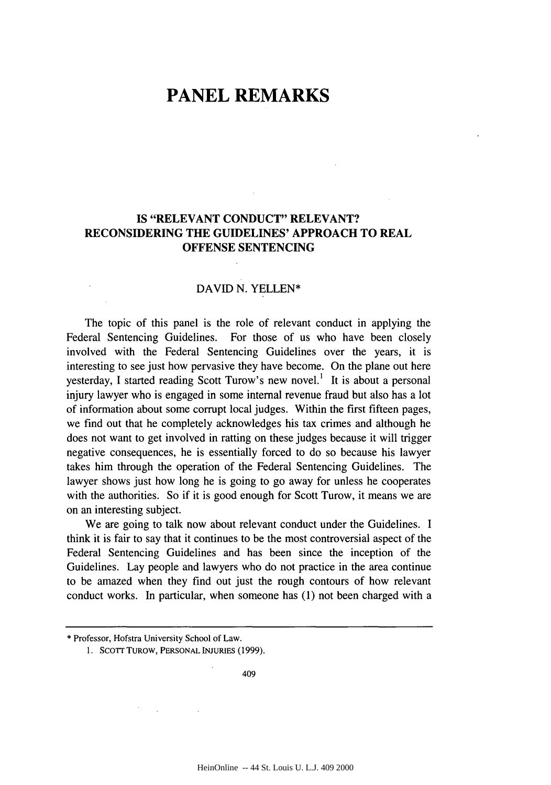# **PANEL REMARKS**

# **IS "RELEVANT CONDUCT" RELEVANT? RECONSIDERING THE GUIDELINES' APPROACH TO REAL OFFENSE SENTENCING**

#### DAVID N. **YELLEN\***

The topic of this panel is the role of relevant conduct in applying the Federal Sentencing Guidelines. For those of us who have been closely involved with the Federal Sentencing Guidelines over the years, it is interesting to see just how pervasive they have become. On the plane out here yesterday, I started reading Scott Turow's new novel.<sup>1</sup> It is about a personal injury lawyer who is engaged in some internal revenue fraud but also has a lot of information about some corrupt local judges. Within the first fifteen pages, we find out that he completely acknowledges his tax crimes and although he does not want to get involved in ratting on these judges because it will trigger negative consequences, he is essentially forced to do so because his lawyer takes him through the operation of the Federal Sentencing Guidelines. The lawyer shows just how long he is going to go away for unless he cooperates with the authorities. So if it is good enough for Scott Turow, it means we are on an interesting subject.

We are going to talk now about relevant conduct under the Guidelines. I think it is fair to say that it continues to be the most controversial aspect of the Federal Sentencing Guidelines and has been since the inception of the Guidelines. Lay people and lawyers who do not practice in the area continue to be amazed when they find out just the rough contours of how relevant conduct works. In particular, when someone has (1) not been charged with a

 $\mathcal{F}^{\text{max}}_{\text{max}}$ 

<sup>\*</sup> Professor, Hofstra University School of Law.

<sup>1.</sup> ScoTT TUROW, PERSONAL INJURIES (1999).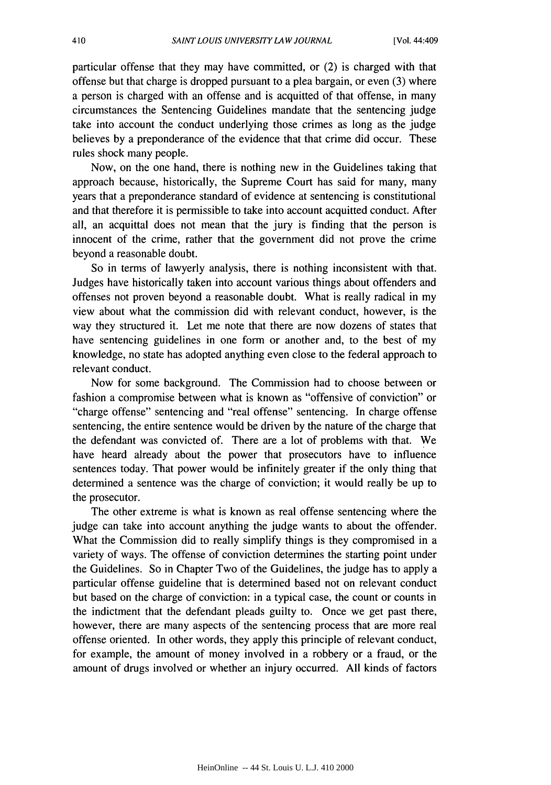particular offense that they may have committed, or (2) is charged with that offense but that charge is dropped pursuant to a plea bargain, or even (3) where a person is charged with an offense and is acquitted of that offense, in many circumstances the Sentencing Guidelines mandate that the sentencing judge take into account the conduct underlying those crimes as long as the judge believes by a preponderance of the evidence that that crime did occur. These rules shock many people.

Now, on the one hand, there is nothing new in the Guidelines taking that approach because, historically, the Supreme Court has said for many, many years that a preponderance standard of evidence at sentencing is constitutional and that therefore it is permissible to take into account acquitted conduct. After all, an acquittal does not mean that the jury is finding that the person is innocent of the crime, rather that the government did not prove the crime beyond a reasonable doubt.

So in terms of lawyerly analysis, there is nothing inconsistent with that. Judges have historically taken into account various things about offenders and offenses not proven beyond a reasonable doubt. What is really radical in my view about what the commission did with relevant conduct, however, is the way they structured it. Let me note that there are now dozens of states that have sentencing guidelines in one form or another and, to the best of my knowledge, no state has adopted anything even close to the federal approach to relevant conduct.

Now for some background. The Commission had to choose between or fashion a compromise between what is known as "offensive of conviction" or "charge offense" sentencing and "real offense" sentencing. In charge offense sentencing, the entire sentence would be driven by the nature of the charge that the defendant was convicted of. There are a lot of problems with that. We have heard already about the power that prosecutors have to influence sentences today. That power would be infinitely greater if the only thing that determined a sentence was the charge of conviction; it would really be up to the prosecutor.

The other extreme is what is known as real offense sentencing where the judge can take into account anything the judge wants to about the offender. What the Commission did to really simplify things is they compromised in a variety of ways. The offense of conviction determines the starting point under the Guidelines. So in Chapter Two of the Guidelines, the judge has to apply a particular offense guideline that is determined based not on relevant conduct but based on the charge of conviction: in a typical case, the count or counts in the indictment that the defendant pleads guilty to. Once we get past there, however, there are many aspects of the sentencing process that are more real offense oriented. In other words, they apply this principle of relevant conduct, for example, the amount of money involved in a robbery or a fraud, or the amount of drugs involved or whether an injury occurred. All kinds of factors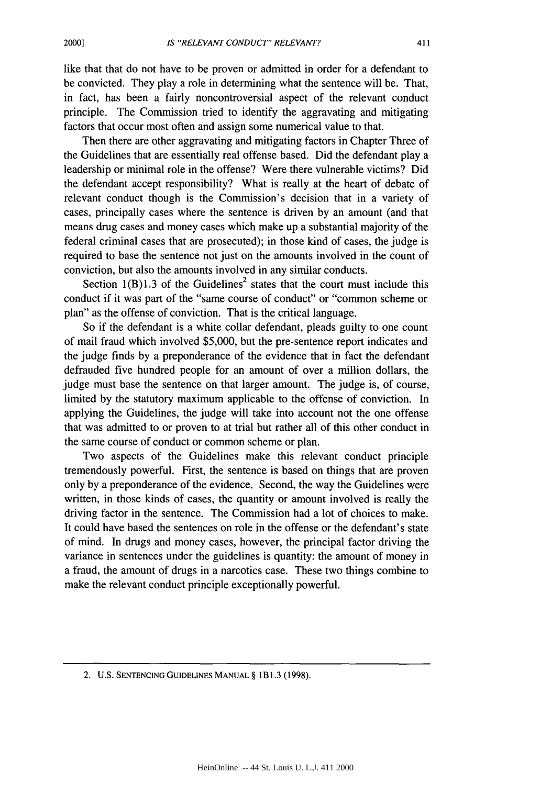like that that do not have to be proven or admitted in order for a defendant to be convicted. They play a role in determining what the sentence will be. That, in fact, has been a fairly noncontroversial aspect of the relevant conduct principle. The Commission tried to identify the aggravating and mitigating factors that occur most often and assign some numerical value to that.

Then there are other aggravating and mitigating factors in Chapter Three of the Guidelines that are essentially real offense based. Did the defendant play a leadership or minimal role in the offense? Were there vulnerable victims? Did the defendant accept responsibility? What is really at the heart of debate of relevant conduct though is the Commission's decision that in a variety of cases, principally cases where the sentence is driven by an amount (and that means drug cases and money cases which make up a substantial majority of the federal criminal cases that are prosecuted); in those kind of cases, the judge is required to base the sentence not just on the amounts involved in the count of conviction, but also the amounts involved in any similar conducts.

Section 1(B)1.3 of the Guidelines<sup>2</sup> states that the court must include this conduct if it was part of the "same course of conduct" or "common scheme or plan" as the offense of conviction. That is the critical language.

So if the defendant is a white collar defendant, pleads guilty to one count of mail fraud which involved \$5,000, but the pre-sentence report indicates and the judge finds by a preponderance of the evidence that in fact the defendant defrauded five hundred people for an amount of over a million dollars, the judge must base the sentence on that larger amount. The judge is, of course, limited by the statutory maximum applicable to the offense of conviction. In applying the Guidelines, the judge will take into account not the one offense that was admitted to or proven to at trial but rather all of this other conduct in the same course of conduct or common scheme or plan.

Two aspects of the Guidelines make this relevant conduct principle tremendously powerful. First, the sentence is based on things that are proven only by a preponderance of the evidence. Second, the way the Guidelines were written, in those kinds of cases, the quantity or amount involved is really the driving factor in the sentence. The Commission had a lot of choices to make. It could have based the sentences on role in the offense or the defendant's state of mind. In drugs and money cases, however, the principal factor driving the variance in sentences under the guidelines is quantity: the amount of money in a fraud, the amount of drugs in a narcotics case. These two things combine to make the relevant conduct principle exceptionally powerful.

<sup>2.</sup> U.S. SENTENCING GUIDELINES MANUAL § 1B1.3 (1998).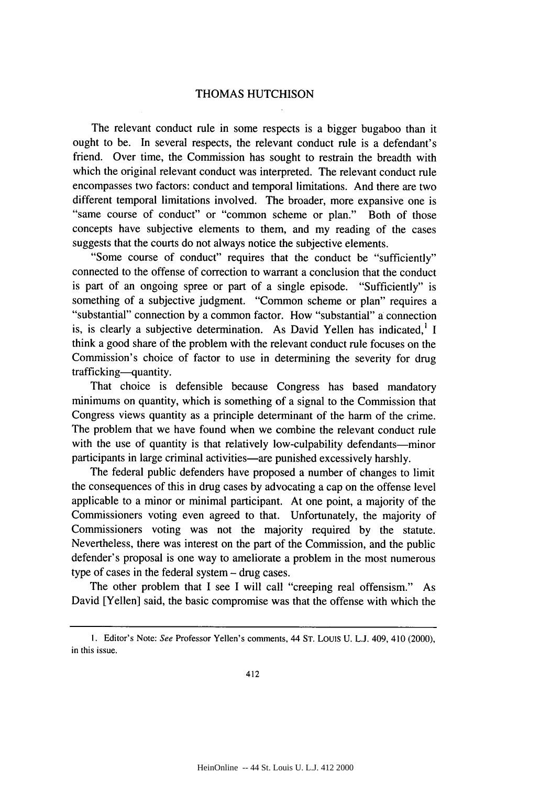# THOMAS HUTCHISON

The relevant conduct rule in some respects is a bigger bugaboo than it ought to be. In several respects, the relevant conduct rule is a defendant's friend. Over time, the Commission has sought to restrain the breadth with which the original relevant conduct was interpreted. The relevant conduct rule encompasses two factors: conduct and temporal limitations. And there are two different temporal limitations involved. The broader, more expansive one is "same course of conduct" or "common scheme or plan." Both of those concepts have subjective elements to them, and my reading of the cases suggests that the courts do not always notice the subjective elements.

"Some course of conduct" requires that the conduct be "sufficiently" connected to the offense of correction to warrant a conclusion that the conduct is part of an ongoing spree or part of a single episode. "Sufficiently" is something of a subjective judgment. "Common scheme or plan" requires a "substantial" connection by a common factor. How "substantial" a connection is, is clearly a subjective determination. As David Yellen has indicated,' I think a good share of the problem with the relevant conduct rule focuses on the Commission's choice of factor to use in determining the severity for drug trafficking-quantity.

That choice is defensible because Congress has based mandatory minimums on quantity, which is something of a signal to the Commission that Congress views quantity as a principle determinant of the harm of the crime. The problem that we have found when we combine the relevant conduct rule with the use of quantity is that relatively low-culpability defendants-minor participants in large criminal activities—are punished excessively harshly.

The federal public defenders have proposed a number of changes to limit the consequences of this in drug cases by advocating a cap on the offense level applicable to a minor or minimal participant. At one point, a majority of the Commissioners voting even agreed to that. Unfortunately, the majority of Commissioners voting was not the majority required by the statute. Nevertheless, there was interest on the part of the Commission, and the public defender's proposal is one way to ameliorate a problem in the most numerous type of cases in the federal system – drug cases.

The other problem that I see I will call "creeping real offensism." As David [Yellen] said, the basic compromise was that the offense with which the

**<sup>1.</sup>** Editor's Note: See Professor Yellen's comments, 44 ST. Louis U. L.J. 409, 410 (2000), in this issue.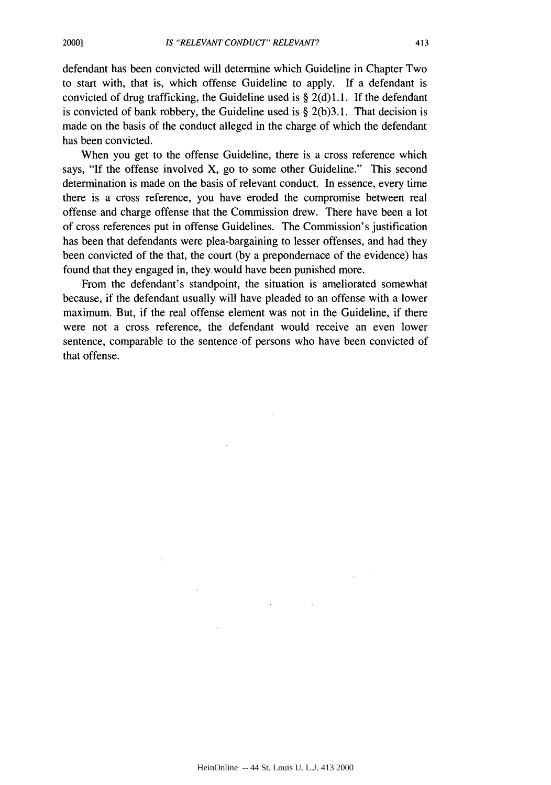defendant has been convicted will determine which Guideline in Chapter Two to start with, that is, which offense Guideline to apply. If a defendant is convicted of drug trafficking, the Guideline used is  $\S$  2(d)1.1. If the defendant is convicted of bank robbery, the Guideline used is  $\S$  2(b)3.1. That decision is made on the basis of the conduct alleged in the charge of which the defendant has been convicted.

When you get to the offense Guideline, there is a cross reference which says, "If the offense involved X, go to some other Guideline." This second determination is made on the basis of relevant conduct. In essence, every time there is a cross reference, you have eroded the compromise between real offense and charge offense that the Commission drew. There have been a lot of cross references put in offense Guidelines. The Commission's justification has been that defendants were plea-bargaining to lesser offenses, and had they been convicted of the that, the court (by a prepondernace of the evidence) has found that they engaged in, they. would have been punished more.

From the defendant's standpoint, the situation is ameliorated somewhat because, if the defendant usually will have pleaded to an offense with a lower maximum. But, if the real offense element was not in the Guideline, if there were not a cross reference, the defendant would receive an even lower sentence, comparable to the sentence of persons who have been convicted of that offense.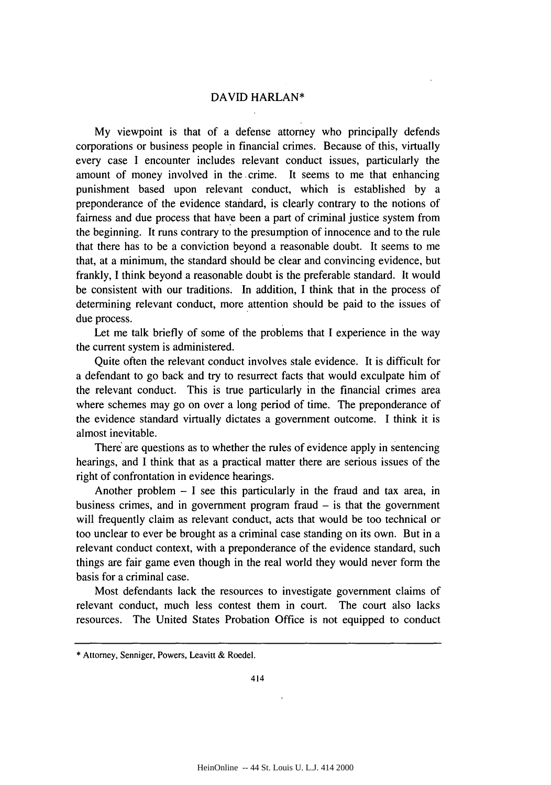#### DAVID HARLAN\*

My viewpoint is that of a defense attorney who principally defends corporations or business people in financial crimes. Because of this, virtually every case I encounter includes relevant conduct issues, particularly the amount of money involved in the crime. It seems to me that enhancing punishment based upon relevant conduct, which is established by a preponderance of the evidence standard, is clearly contrary to the notions of fairness and due process that have been a part of criminal justice system from the beginning. It runs contrary to the presumption of innocence and to the rule that there has to be a conviction beyond a reasonable doubt. It seems to me that, at a minimum, the standard should be clear and convincing evidence, but frankly, I think beyond a reasonable doubt is the preferable standard. It would be consistent with our traditions. In addition, I think that in the process of determining relevant conduct, more attention should be paid to the issues of due process.

Let me talk briefly of some of the problems that I experience in the way the current system is administered.

Quite often the relevant conduct involves stale evidence. It is difficult for a defendant to go back and try to resurrect facts that would exculpate him of the relevant conduct. This is true particularly in the financial crimes area where schemes may go on over a long period of time. The preponderance of the evidence standard virtually dictates a government outcome. I think it is almost inevitable.

There are questions as to whether the rules of evidence apply in sentencing hearings, and I think that as a practical matter there are serious issues of the right of confrontation in evidence hearings.

Another problem  $- I$  see this particularly in the fraud and tax area, in business crimes, and in government program fraud  $-$  is that the government will frequently claim as relevant conduct, acts that would be too technical or too unclear to ever be brought as a criminal case standing on its own. But in a relevant conduct context, with a preponderance of the evidence standard, such things are fair game even though in the real world they would never form the basis for a criminal case.

Most defendants lack the resources to investigate government claims of relevant conduct, much less contest them in court. The court also lacks resources. The United States Probation Office is not equipped to conduct

<sup>\*</sup> Attorney, Senniger, Powers, Leavitt & Roedel.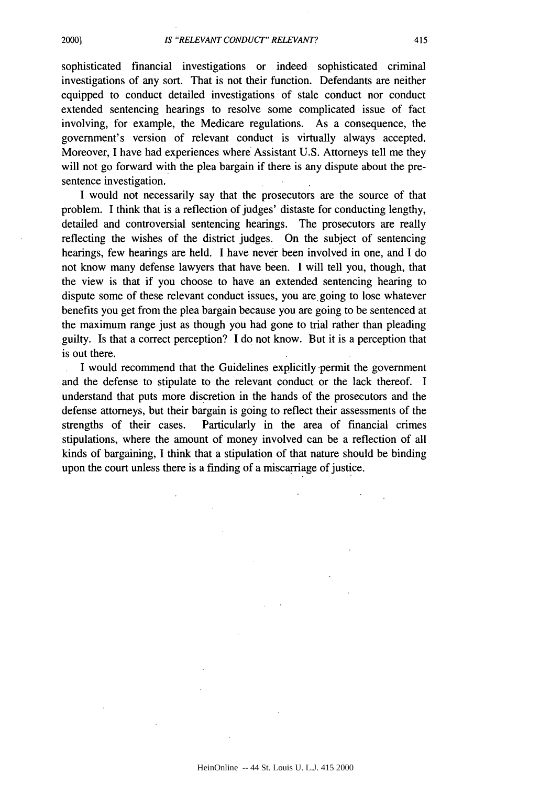sophisticated financial investigations or indeed sophisticated criminal investigations of any sort. That is not their function. Defendants are neither equipped to conduct detailed investigations of stale conduct nor conduct extended sentencing hearings to resolve some complicated issue of fact involving, for example, the Medicare regulations. As a consequence, the government's version of relevant conduct is virtually always accepted. Moreover, I have had experiences where Assistant U.S. Attorneys tell me they will not go forward with the plea bargain if there is any dispute about the presentence investigation.

I would not necessarily say that the prosecutors are the source of that problem. I think that is a reflection of judges' distaste for conducting lengthy, detailed and controversial sentencing hearings. The prosecutors are really reflecting the wishes of the district judges. On the subject of sentencing hearings, few hearings are held. I have never been involved in one, and I do not know many defense lawyers that have been. I will tell you, though, that the view is that if you choose to have an extended sentencing hearing to dispute some of these relevant conduct issues, you are going to lose whatever benefits you get from the plea bargain because you are going to be sentenced at the maximum range just as though you had gone to trial rather than pleading guilty. Is that a correct perception? I do not know. But it is a perception that is out there.

I would recommend that the Guidelines explicitly permit the government and the defense to stipulate to the relevant conduct or the lack thereof. I understand that puts more discretion in the hands of the prosecutors and the defense attorneys, but their bargain is going to reflect their assessments of the strengths of their cases. Particularly in the area of financial crimes stipulations, where the amount of money involved can be a reflection of all kinds of bargaining, I think that a stipulation of that nature should be binding upon the court unless there is a finding of a miscarriage of justice.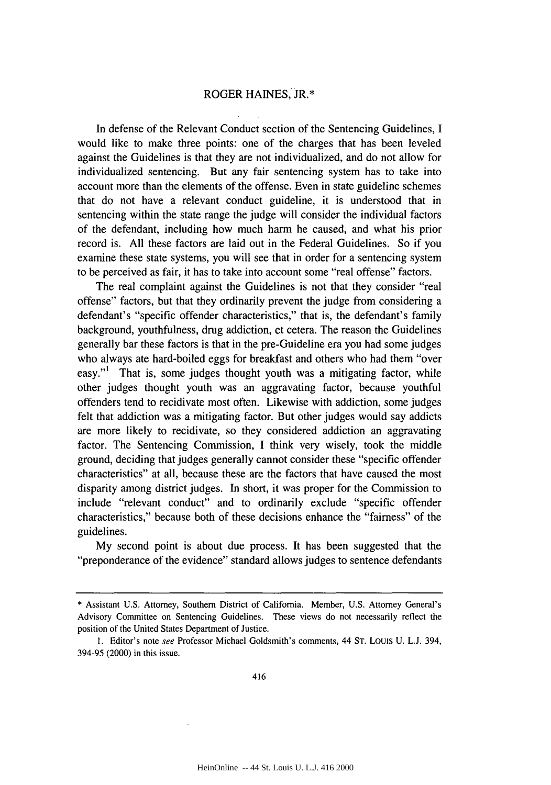## ROGER HAINES, JR.\*

In defense of the Relevant Conduct section of the Sentencing Guidelines, I would like to make three points: one of the charges that has been leveled against the Guidelines is that they are not individualized, and do not allow for individualized sentencing. But any fair sentencing system has to take into account more than the elements of the offense. Even in state guideline schemes that do not have a relevant conduct guideline, it is understood that in sentencing within the state range the judge will consider the individual factors of the defendant, including how much harm he caused, and what his prior record is. All these factors are laid out in the Federal Guidelines. So if you examine these state systems, you will see that in order for a sentencing system to be perceived as fair, it has to take into account some "real offense" factors.

The real complaint against the Guidelines is not that they consider "real offense" factors, but that they ordinarily prevent the judge from considering a defendant's "specific offender characteristics," that is, the defendant's family background, youthfulness, drug addiction, et cetera. The reason the Guidelines generally bar these factors is that in the pre-Guideline era you had some judges who always ate hard-boiled eggs for breakfast and others who had them "over easy."<sup>1</sup> That is, some judges thought youth was a mitigating factor, while other judges thought youth was an aggravating factor, because youthful offenders tend to recidivate most often. Likewise with addiction, some judges felt that addiction was a mitigating factor. But other judges would say addicts are more likely to recidivate, so they considered addiction an aggravating factor. The Sentencing Commission, I think very wisely, took the middle ground, deciding that judges generally cannot consider these "specific offender characteristics" at all, because these are the factors that have caused the most disparity among district judges. In short, it was proper for the Commission to include "relevant conduct" and to ordinarily exclude "specific offender characteristics," because both of these decisions enhance the "fairness" of the guidelines.

My second point is about due process. It has been suggested that the "preponderance of the evidence" standard allows judges to sentence defendants

<sup>\*</sup> Assistant U.S. Attorney, Southern District of California. Member, U.S. Attorney General's Advisory Committee on Sentencing Guidelines. These views do not necessarily reflect the position of the United States Department of Justice.

**<sup>1.</sup>** Editor's note see Professor Michael Goldsmith's comments, 44 ST. Louis U. L.J. 394, 394-95 (2000) in this issue.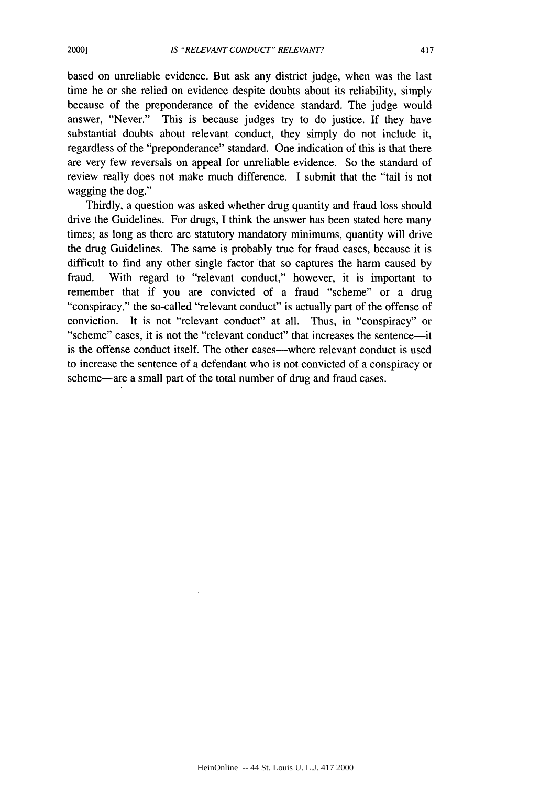based on unreliable evidence. But ask any district judge, when was the last time he or she relied on evidence despite doubts about its reliability, simply because of the preponderance of the evidence standard. The judge would answer, "Never." This is because judges try to do justice. If they have substantial doubts about relevant conduct, they simply do not include it, regardless of the "preponderance" standard. One indication of this is that there are very few reversals on appeal for unreliable evidence. So the standard of review really does not make much difference. I submit that the "tail is not wagging the dog."

Thirdly, a question was asked whether drug quantity and fraud loss should drive the Guidelines. For drugs, I think the answer has been stated here many times; as long as there are statutory mandatory minimums, quantity will drive the drug Guidelines. The same is probably true for fraud cases, because it is difficult to find any other single factor that so captures the harm caused by fraud. With regard to "relevant conduct," however, it is important to remember that if you are convicted of a fraud "scheme" or a drug "conspiracy," the so-called "relevant conduct" is actually part of the offense of conviction. It is not "relevant conduct" at all. Thus, in "conspiracy" or "scheme" cases, it is not the "relevant conduct" that increases the sentence-it is the offense conduct itself. The other cases—where relevant conduct is used to increase the sentence of a defendant who is not convicted of a conspiracy or scheme-are a small part of the total number of drug and fraud cases.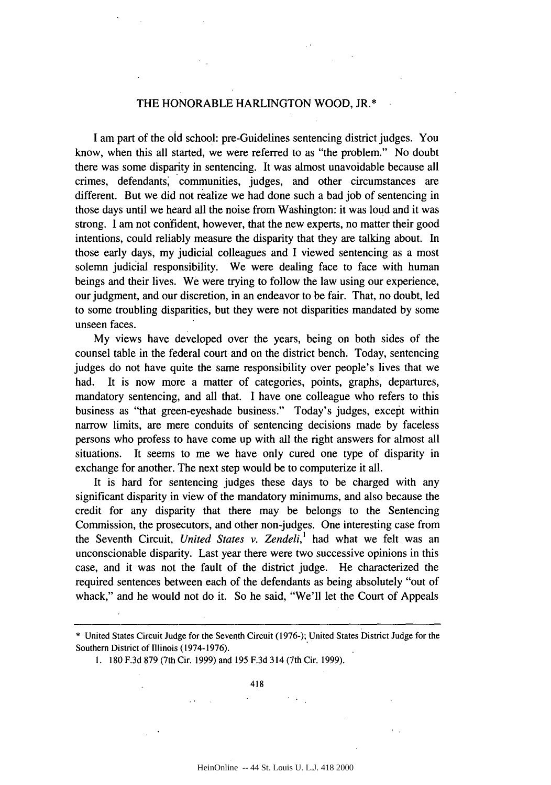## THE HONORABLE HARLINGTON WOOD, JR.\*

I am part of the old school: pre-Guidelines sentencing district judges. You know, when this all started, we were referred to as "the problem." No doubt there was some disparity in sentencing. It was almost unavoidable because all crimes, defendants, communities, judges, and other circumstances are different. But we did not realize we had done such a bad job of sentencing in those days until we heard all the noise from Washington: it was loud and it was strong. I am not confident, however, that the new experts, no matter their good intentions, could reliably measure the disparity that they are talking about. In those early days, my judicial colleagues and I viewed sentencing as a most solemn judicial responsibility. We were dealing face to face with human beings and their lives. We were trying to follow the law using our experience, our judgment, and our discretion, in an endeavor to be fair. That, no doubt, led to some troubling disparities, but they were not disparities mandated by some unseen faces.

My views have developed over the years, being on both sides of the counsel table in the federal court and on the district bench. Today, sentencing judges do not have quite the same responsibility over people's lives that we had. It is now more a matter of categories, points, graphs, departures, mandatory sentencing, and all that. I have one colleague who refers to this business as "that green-eyeshade business." Today's judges, except within narrow limits, are mere conduits of sentencing decisions made by faceless persons who profess to have come up with all the right answers for almost all situations. It seems to me we have only cured one type of disparity in exchange for another. The next step would be to computerize it all.

It is hard for sentencing judges these days to be charged with any significant disparity in view of the mandatory minimums, and also because the credit for any disparity that there may be belongs to the Sentencing Commission, the prosecutors, and other non-judges. One interesting case from the Seventh Circuit, United States v. Zendeli,<sup>1</sup> had what we felt was an unconscionable disparity. Last year there were two successive opinions in this case, and it was not the fault of the district judge. He characterized the required sentences between each of the defendants as being absolutely "out of whack," and he would not do it. So he said, "We'll let the Court of Appeals

<sup>\*</sup> United States Circuit Judge for the Seventh Circuit (1976-); United States District Judge for the Southern District of Illinois (1974-1976).

<sup>1. 180</sup> F.3d 879 (7th Cir. 1999) and 195 F.3d 314 (7th Cir. 1999).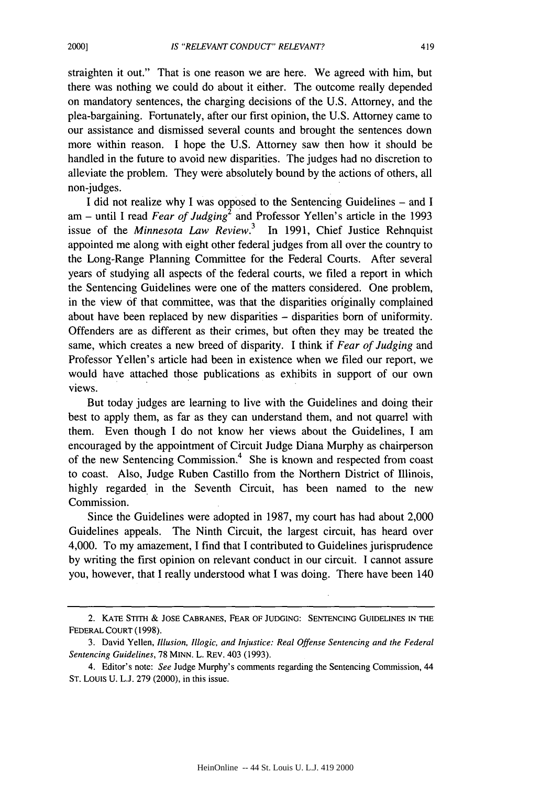straighten it out." That is one reason we are here. We agreed with him, but there was nothing we could do about it either. The outcome really depended on mandatory sentences, the charging decisions of the U.S. Attorney, and the plea-bargaining. Fortunately, after our first opinion, the U.S. Attorney came to our assistance and dismissed several counts and brought the sentences down more within reason. I hope the U.S. Attorney saw then how it should be handled in the future to avoid new disparities. The judges had no discretion to alleviate the problem. They were absolutely bound by the actions of others, all non-judges.

I did not realize why I was opposed to the Sentencing Guidelines - and I am - until I read *Fear of Judging2* and Professor Yellen's article in the 1993 issue of the *Minnesota Law Review*.<sup>3</sup> In 1991, Chief Justice Rehnquist appointed me along with eight other federal judges from all over the country to the Long-Range Planning Committee for the Federal Courts. After several years of studying all aspects of the federal courts, we filed a report in which the Sentencing Guidelines were one of the matters considered. One problem, in the view of that committee, was that the disparities originally complained about have been replaced by new disparities – disparities born of uniformity. Offenders are as different as their crimes, but often they may be treated the same, which creates a new breed of disparity. I think if *Fear of Judging* and Professor Yellen's article had been in existence when we filed our report, we would have attached those publications as exhibits in support of our own views.

But today judges are learning to live with the Guidelines and doing their best to apply them, as far as they can understand them, and not quarrel with them. Even though I do not know her views about the Guidelines, I am encouraged by the appointment of Circuit Judge Diana Murphy as chairperson of the new Sentencing Commission.<sup>4</sup> She is known and respected from coast to coast. Also, Judge Ruben Castillo from the Northern District of Illinois, highly regarded in the Seventh Circuit, has been named to the new Commission.

Since the Guidelines were adopted in 1987, my court has had about 2,000 Guidelines appeals. The Ninth Circuit, the largest circuit, has heard over 4,000. To my amazement, I find that I contributed to Guidelines jurisprudence by writing the first opinion on relevant conduct in our circuit. I cannot assure you, however, that I really understood what I was doing. There have been 140

<sup>2.</sup> KATE STITH & **JOSE CABRANES,** FEAR OF **JUDGING:** SENTENCING GUIDELINES IN **THE** FEDERAL **COURT** (1998).

<sup>3.</sup> David Yellen, *Illusion, Illogic, and Injustice: Real Offense Sentencing and the Federal Sentencing Guidelines,* 78 **MINN.** L. REv. 403 (1993).

<sup>4.</sup> Editor's note: *See* Judge Murphy's comments regarding the Sentencing Commission, 44 ST. Louis U. L.J. 279 (2000), in this issue.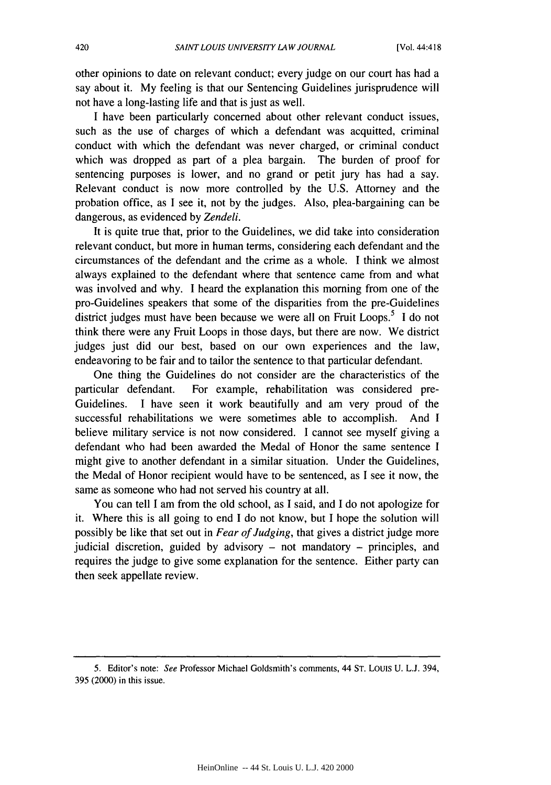other opinions to date on relevant conduct; every judge on our court has had a say about it. My feeling is that our Sentencing Guidelines jurisprudence will not have a long-lasting life and that is just as well.

I have been particularly concerned about other relevant conduct issues, such as the use of charges of which a defendant was acquitted, criminal conduct with which the defendant was never charged, or criminal conduct which was dropped as part of a plea bargain. The burden of proof for sentencing purposes is lower, and no grand or petit jury has had a say. Relevant conduct is now more controlled by the U.S. Attorney and the probation office, as I see it, not by the judges. Also, plea-bargaining can be dangerous, as evidenced by *Zendeli.*

It is quite true that, prior to the Guidelines, we did take into consideration relevant conduct, but more in human terms, considering each defendant and the circumstances of the defendant and the crime as a whole. I think we almost always explained to the defendant where that sentence came from and what was involved and why. I heard the explanation this morning from one of the pro-Guidelines speakers that some of the disparities from the pre-Guidelines district judges must have been because we were all on Fruit Loops **.** I do not think there were any Fruit Loops in those days, but there are now. We district judges just did our best, based on our own experiences and the law, endeavoring to be fair and to tailor the sentence to that particular defendant.

One thing the Guidelines do not consider are the characteristics of the particular defendant. For example, rehabilitation was considered pre-Guidelines. I have seen it work beautifully and am very proud of the successful rehabilitations we were sometimes able to accomplish. And I believe military service is not now considered. I cannot see myself giving a defendant who had been awarded the Medal of Honor the same sentence I might give to another defendant in a similar situation. Under the Guidelines, the Medal of Honor recipient would have to be sentenced, as I see it now, the same as someone who had not served his country at all.

You can tell I am from the old school, as I said, and I do not apologize for it. Where this is all going to end I do not know, but I hope the solution will possibly be like that set out in *Fear of Judging,* that gives a district judge more judicial discretion, guided by advisory - not mandatory - principles, and requires the judge to give some explanation for the sentence. Either party can then seek appellate review.

<sup>5.</sup> Editor's note: *See* Professor Michael Goldsmith's comments, 44 ST. Louis U. L.J. 394, 395 (2000) in this issue.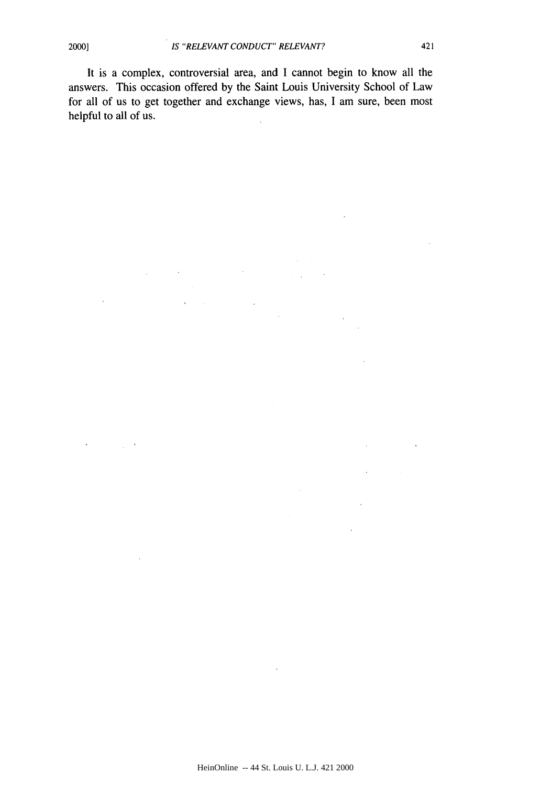ù.

It is a complex, controversial area, and I cannot begin to know all the answers. This occasion offered by the Saint Louis University School of Law for all of us to get together and exchange views, has, I am sure, been most helpful to all of us.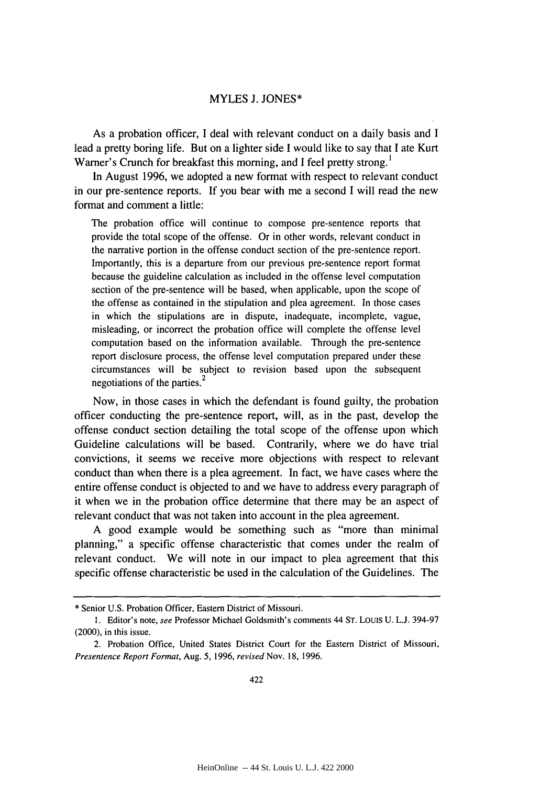#### MYLES J. JONES\*

As a probation officer, I deal with relevant conduct on a daily basis and I lead a pretty boring life. But on a lighter side I would like to say that I ate Kurt Warner's Crunch for breakfast this morning, and I feel pretty strong.

In August 1996, we adopted a new format with respect to relevant conduct in our pre-sentence reports. If you bear with me a second I will read the new format and comment a little:

The probation office will continue to compose pre-sentence reports that provide the total scope of the offense. Or in other words, relevant conduct in the narrative portion in the offense conduct section of the pre-sentence report. Importantly, this is a departure from our previous pre-sentence report format because the guideline calculation as included in the offense level computation section of the pre-sentence will be based, when applicable, upon the scope of the offense as contained in the stipulation and plea agreement. In those cases in which the stipulations are in dispute, inadequate, incomplete, vague, misleading, or incorrect the probation office will complete the offense level computation based on the information available. Through the pre-sentence report disclosure process, the offense level computation prepared under these circumstances will be subject to revision based upon the subsequent negotiations of the parties.<sup>2</sup>

Now, in those cases in which the defendant is found guilty, the probation officer conducting the pre-sentence report, will, as in the past, develop the offense conduct section detailing the total scope of the offense upon which Guideline calculations will be based. Contrarily, where we do have trial convictions, it seems we receive more objections with respect to relevant conduct than when there is a plea agreement. In fact, we have cases where the entire offense conduct is objected to and we have to address every paragraph of it when we in the probation office determine that there may be an aspect of relevant conduct that was not taken into account in the plea agreement.

A good example would be something such as "more than minimal planning," a specific offense characteristic that comes under the realm of relevant conduct. We will note in our impact to plea agreement that this specific offense characteristic be used in the calculation of the Guidelines. The

<sup>\*</sup> Senior U.S. Probation Officer, Eastern District of Missouri.

**<sup>1.</sup>** Editor's note, *see* Professor Michael Goldsmith's comments 44 **ST.** Louis U. L.J. 394-97 (2000), in this issue.

<sup>2.</sup> Probation Office, United States District Court for the Eastern District of Missouri, *Presentence Report Format,* Aug. 5, 1996, *revised* Nov. 18, 1996.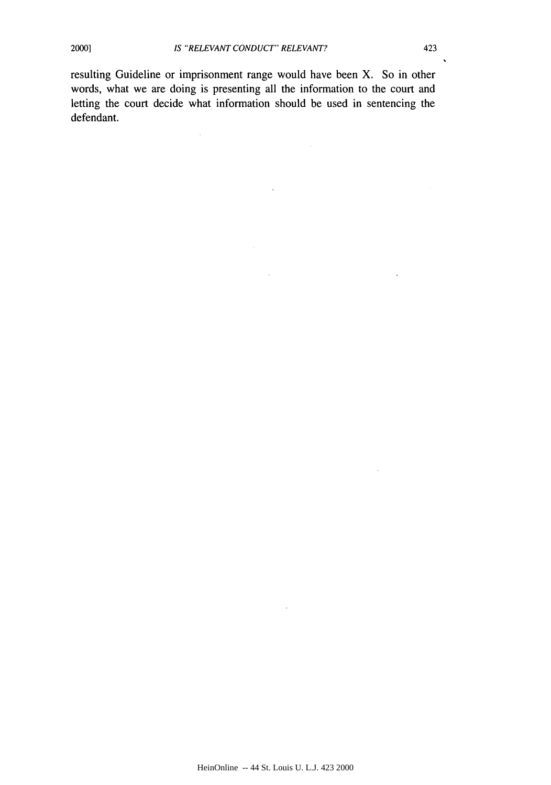resulting Guideline or imprisonment range would have been X. So in other words, what we are doing is presenting all the information to the court and letting the court decide what information should be used in sentencing the defendant.

 $\bar{\mathcal{A}}$ 

 $\bar{\mathcal{A}}$ 

 $\mathcal{A}$ 

 $\ddot{\phantom{a}}$